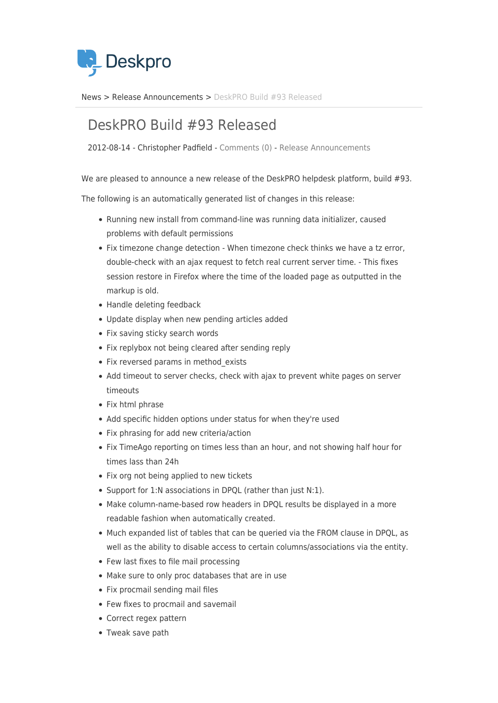

[News](https://support.deskpro.com/sv/news) > [Release Announcements](https://support.deskpro.com/sv/news/release-announcements) > [DeskPRO Build #93 Released](https://support.deskpro.com/sv/news/posts/deskpro-build-93-released)

## DeskPRO Build #93 Released

2012-08-14 - Christopher Padfield - [Comments \(0\)](#page--1-0) - [Release Announcements](https://support.deskpro.com/sv/news/release-announcements)

We are pleased to announce a new release of the DeskPRO helpdesk platform, build #93.

The following is an automatically generated list of changes in this release:

- Running new install from command-line was running data initializer, caused problems with default permissions
- Fix timezone change detection When timezone check thinks we have a tz error, double-check with an ajax request to fetch real current server time. - This fixes session restore in Firefox where the time of the loaded page as outputted in the markup is old.
- Handle deleting feedback
- Update display when new pending articles added
- Fix saving sticky search words
- Fix replybox not being cleared after sending reply
- Fix reversed params in method exists
- Add timeout to server checks, check with ajax to prevent white pages on server timeouts
- Fix html phrase
- Add specific hidden options under status for when they're used
- Fix phrasing for add new criteria/action
- Fix TimeAgo reporting on times less than an hour, and not showing half hour for times lass than 24h
- Fix org not being applied to new tickets
- Support for 1:N associations in DPQL (rather than just N:1).
- Make column-name-based row headers in DPQL results be displayed in a more readable fashion when automatically created.
- Much expanded list of tables that can be queried via the FROM clause in DPQL, as well as the ability to disable access to certain columns/associations via the entity.
- Few last fixes to file mail processing
- Make sure to only proc databases that are in use
- Fix procmail sending mail files
- Few fixes to procmail and savemail
- Correct regex pattern
- Tweak save path